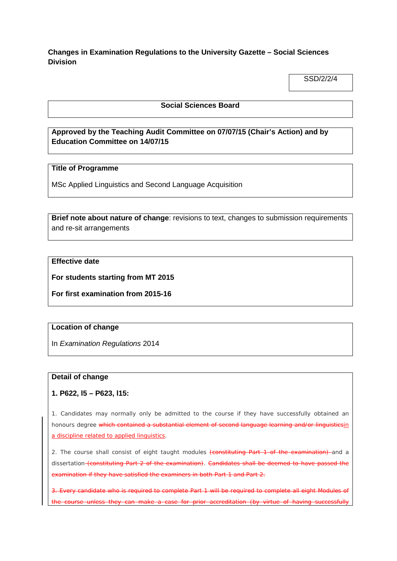**Changes in Examination Regulations to the University Gazette – Social Sciences Division**

SSD/2/2/4

#### **Social Sciences Board**

# **Approved by the Teaching Audit Committee on 07/07/15 (Chair's Action) and by Education Committee on 14/07/15**

## **Title of Programme**

MSc Applied Linguistics and Second Language Acquisition

**Brief note about nature of change**: revisions to text, changes to submission requirements and re-sit arrangements

# **Effective date**

**For students starting from MT 2015**

**For first examination from 2015-16**

## **Location of change**

In *Examination Regulations* 2014

#### **Detail of change**

**1. P622, l5 – P623, l15:**

1. Candidates may normally only be admitted to the course if they have successfully obtained an honours degree which contained a substantial element of second language learning and/or linguisticsin a discipline related to applied linguistics.

2. The course shall consist of eight taught modules (constituting Part 1 of the examination) and a dissertation (constituting Part 2 of the examination). Candidates shall be deemed to have passed the examination if they have satisfied the examiners in both Part 1 and Part 2.

Every candidate who is required to complete Part 1 will be required to complete all eight Modules of the course unless they can make a case for prior accreditation (by virtue of having successfully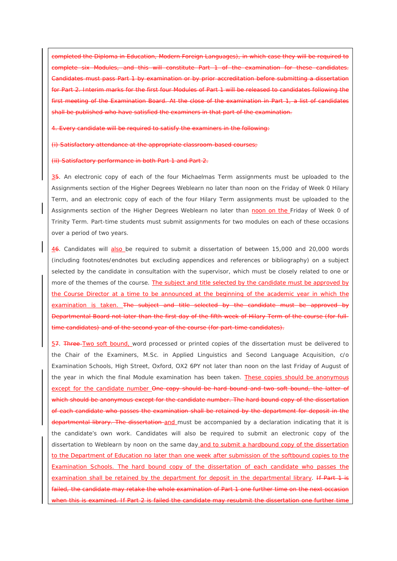completed the Diploma in Education, Modern Foreign Languages), in which case they will be required to complete six Modules, and this will constitute Part 1 of the examination for these candidates. examination or by prior accreditation before four Modules of Part 1 will be released to candidates following of the Examination Board. At the close of the examination in Part  $1$ , a list of candidates shall be published who have satisfied the examiners in that part of the examination.

candidate will be required to satisfy

(i) Satisfactory attendance at the appropriate classroom-based courses;

(ii) Satisfactory performance in both Part 1 and Part 2.

35. An electronic copy of each of the four Michaelmas Term assignments must be uploaded to the Assignments section of the Higher Degrees Weblearn no later than noon on the Friday of Week 0 Hilary Term, and an electronic copy of each of the four Hilary Term assignments must be uploaded to the Assignments section of the Higher Degrees Weblearn no later than noon on the Friday of Week 0 of Trinity Term. Part-time students must submit assignments for two modules on each of these occasions over a period of two years.

46. Candidates will also be required to submit a dissertation of between 15,000 and 20,000 words (including footnotes/endnotes but excluding appendices and references or bibliography) on a subject selected by the candidate in consultation with the supervisor, which must be closely related to one or more of the themes of the course. The subject and title selected by the candidate must be approved by the Course Director at a time to be announced at the beginning of the academic year in which the examination is taken. The subject and title selected by the candidate must Departmental Board not later than the first day of the fifth week of Hilary Term of the course (for fullcandidates) and of the second year of the course (for part-time candidates).

57. Three Two soft bound, word processed or printed copies of the dissertation must be delivered to the Chair of the Examiners, M.Sc. in Applied Linguistics and Second Language Acquisition, c/o Examination Schools, High Street, Oxford, OX2 6PY not later than noon on the last Friday of August of the year in which the final Module examination has been taken. These copies should be anonymous except for the candidate number One copy should be hard bound and two soft bound, the latter of which should be anonymous except for the candidate number. The hard bound copy of the dissertation of each candidate who passes the examination shall be retained by the department for deposit in the departmental library. The dissertation-and must be accompanied by a declaration indicating that it is the candidate's own work. Candidates will also be required to submit an electronic copy of the dissertation to Weblearn by noon on the same day and to submit a hardbound copy of the dissertation to the Department of Education no later than one week after submission of the softbound copies to the Examination Schools. The hard bound copy of the dissertation of each candidate who passes the examination shall be retained by the department for deposit in the departmental library. If Part 1 is the candidate may retake the whole examination of Part 1 one further time on the next occasion If Part 2 is failed the candidate may resubmit the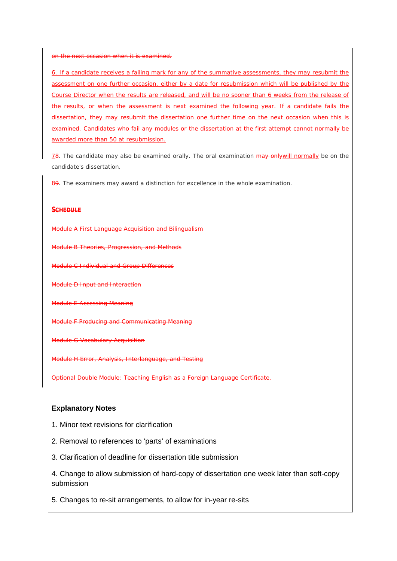on the next occasion when it is examined.

6. If a candidate receives a failing mark for any of the summative assessments, they may resubmit the assessment on one further occasion, either by a date for resubmission which will be published by the Course Director when the results are released, and will be no sooner than 6 weeks from the release of the results, or when the assessment is next examined the following year. If a candidate fails the dissertation, they may resubmit the dissertation one further time on the next occasion when this is examined. Candidates who fail any modules or the dissertation at the first attempt cannot normally be awarded more than 50 at resubmission.

78. The candidate may also be examined orally. The oral examination may only will normally be on the candidate's dissertation.

89. The examiners may award a distinction for excellence in the whole examination.

#### **SCHEDULE**

A First Language Acquisition and Bilingualism

**B Theories, Progression, and Methods** 

**Hndividual and Group Differences** 

*Module D* Input and Interaction

**E** Accessing Meaning

*Module F* Producing and Communicating Meaning

*Module G* Vocabulary Acquisition

*Module H* Error, Analysis, Interlanguage, and Testing

*Optional Double Module:* Teaching English as a Foreign Language Certificate.

#### **Explanatory Notes**

1. Minor text revisions for clarification

2. Removal to references to 'parts' of examinations

3. Clarification of deadline for dissertation title submission

4. Change to allow submission of hard-copy of dissertation one week later than soft-copy submission

5. Changes to re-sit arrangements, to allow for in-year re-sits